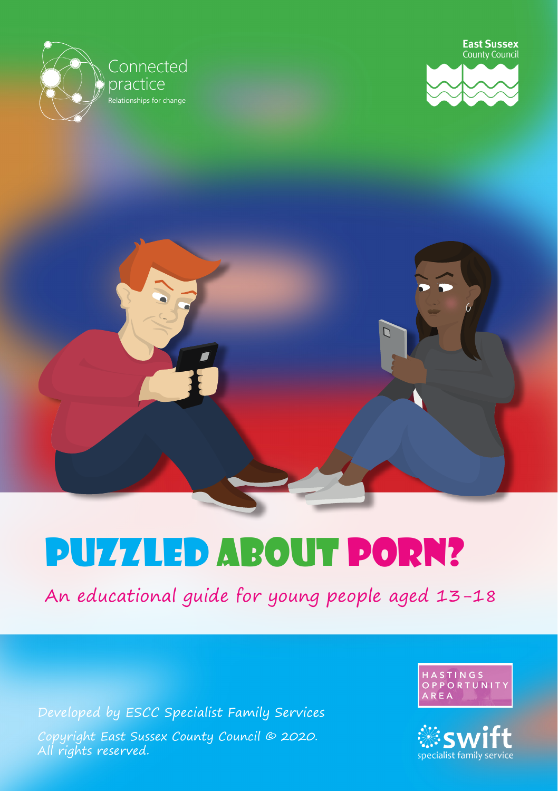





# Puzzled about porn?

An educational guide for young people aged 13-18

Copyright East Sussex County Council © 2020. All rights reserved. Developed by ESCC Specialist Family Services



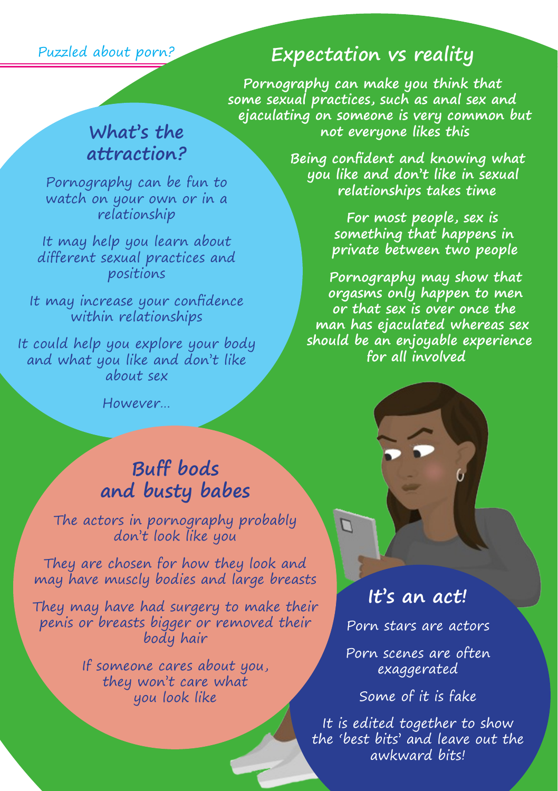Puzzled about porn?

## **attraction?**

Pornography can be fun to watch on your own or in a relationship

It may help you learn about **compar** different sexual practices and positions

It may increase your confidence within relationships

It could help you explore your body and what you like and don't like about sex

However…

### **Buff bods and busty babes**

The actors in pornography probably don't look like you

They are chosen for how they look and may have muscly bodies and large breasts

They may have had surgery to make their penis or breasts bigger or removed their body hair

> If someone cares about you, they won't care what you look like

#### **Expectation vs reality**

**What's the** 5 not everyone likes this **Pornography can make you think that some sexual practices, such as anal sex and ejaculating on someone is very common but** 

> **Being confident and knowing what you like and don't like in sexual relationships takes time**

pornography - a guide **For most people, sex is something that happens in private between two people**

> **Pornography may show that orgasms only happen to men or that sex is over once the man has ejaculated whereas sex should be an enjoyable experience for all involved**

> > **It's an act!**

 $\Gamma$ 

Porn stars are actors

Porn scenes are often exaggerated

Some of it is fake

It is edited together to show the 'best bits' and leave out the awkward bits!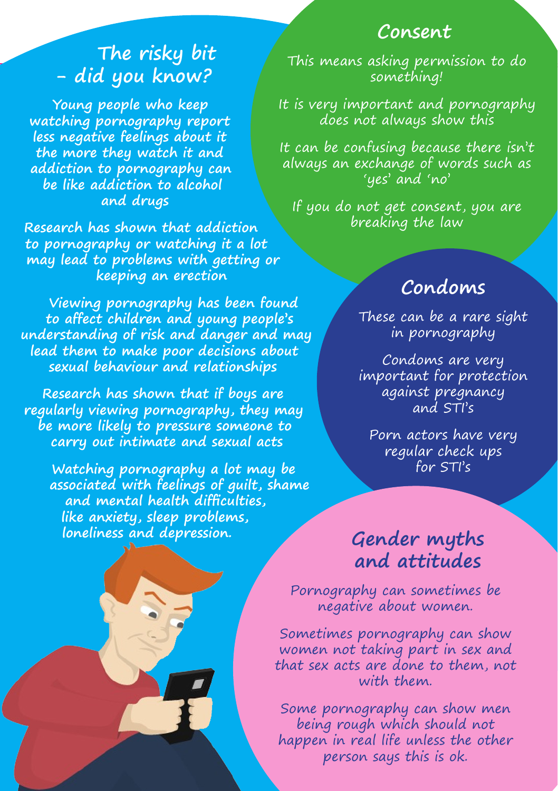#### **Consent**

## **The risky bit - did you know?**

**Young people who keep watching pornography report less negative feelings about it the more they watch it and addiction to pornography can be like addiction to alcohol and drugs**

**Research has shown that addiction to pornography or watching it a lot may lead to problems with getting or keeping an erection**

**Viewing pornography has been found to affect children and young people's understanding of risk and danger and may lead them to make poor decisions about sexual behaviour and relationships**

**Research has shown that if boys are regularly viewing pornography, they may be more likely to pressure someone to carry out intimate and sexual acts**

**Watching pornography a lot may be associated with feelings of guilt, shame and mental health difficulties, like anxiety, sleep problems, loneliness and depression.**

This means asking permission to do something!

It is very important and pornography does not always show this

It can be confusing because there isn't always an exchange of words such as 'yes' and 'no'

If you do not get consent, you are breaking the law

#### **Condoms**

These can be a rare sight in pornography

Condoms are very important for protection against pregnancy and STI's

Porn actors have very regular check ups for STI's

#### **Gender myths and attitudes**

Pornography can sometimes be negative about women.

Sometimes pornography can show women not taking part in sex and that sex acts are done to them, not with them.

happen in real life unless the other<br>person saus this is ok. Some pornography can show men being rough which should not person says this is ok.